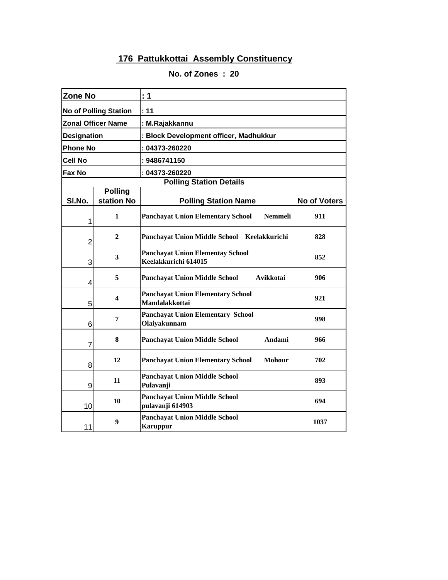| <b>Zone No</b>               |                              | : 1                                                               |                     |  |
|------------------------------|------------------------------|-------------------------------------------------------------------|---------------------|--|
| <b>No of Polling Station</b> |                              | : 11                                                              |                     |  |
|                              | <b>Zonal Officer Name</b>    | : M.Rajakkannu                                                    |                     |  |
| <b>Designation</b>           |                              | : Block Development officer, Madhukkur                            |                     |  |
| <b>Phone No</b>              |                              | : 04373-260220                                                    |                     |  |
| Cell No                      |                              | : 9486741150                                                      |                     |  |
| Fax No                       |                              | : 04373-260220                                                    |                     |  |
|                              |                              | <b>Polling Station Details</b>                                    |                     |  |
| SI.No.                       | <b>Polling</b><br>station No | <b>Polling Station Name</b>                                       | <b>No of Voters</b> |  |
| 1                            | $\mathbf{1}$                 | <b>Nemmeli</b><br><b>Panchayat Union Elementary School</b>        | 911                 |  |
| $\overline{2}$               | $\mathbf{2}$                 | Panchayat Union Middle School Keelakkurichi                       | 828                 |  |
| 3                            | 3                            | <b>Panchayat Union Elementay School</b><br>Keelakkurichi 614015   | 852                 |  |
| 4                            | 5                            | <b>Panchayat Union Middle School</b><br>Avikkotai                 | 906                 |  |
| 5                            | 4                            | <b>Panchayat Union Elementary School</b><br><b>Mandalakkottai</b> | 921                 |  |
| 6                            | 7                            | <b>Panchayat Union Elementary School</b><br>Olaiyakunnam          | 998                 |  |
| 7                            | 8                            | <b>Panchayat Union Middle School</b><br>Andami                    | 966                 |  |
| 8                            | 12                           | <b>Panchayat Union Elementary School</b><br><b>Mohour</b>         | 702                 |  |
| 9                            | 11                           | <b>Panchayat Union Middle School</b><br>Pulavanji                 | 893                 |  |
| 10                           | 10                           | <b>Panchayat Union Middle School</b><br>pulavanji 614903          | 694                 |  |
| 11                           | 9                            | <b>Panchayat Union Middle School</b><br><b>Karuppur</b>           | 1037                |  |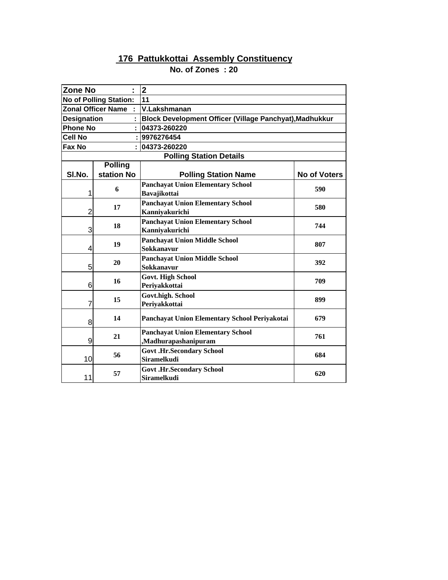| <b>Zone No</b>                |                           | $\mathbf{2}$                                            |                                        |  |
|-------------------------------|---------------------------|---------------------------------------------------------|----------------------------------------|--|
| <b>No of Polling Station:</b> |                           | 11                                                      |                                        |  |
|                               | <b>Zonal Officer Name</b> | V.Lakshmanan                                            |                                        |  |
| <b>Designation</b>            |                           | Block Development Officer (Village Panchyat), Madhukkur |                                        |  |
| <b>Phone No</b>               |                           | : 04373-260220                                          |                                        |  |
| <b>Cell No</b>                |                           | : 9976276454                                            |                                        |  |
| Fax No                        |                           | 04373-260220                                            |                                        |  |
|                               |                           | <b>Polling Station Details</b>                          |                                        |  |
|                               | <b>Polling</b>            |                                                         |                                        |  |
| SI.No.                        | station No                | <b>Polling Station Name</b>                             | <b>No of Voters</b>                    |  |
|                               | 6                         | <b>Panchayat Union Elementary School</b>                |                                        |  |
| 1                             |                           | <b>Bavajikottai</b>                                     |                                        |  |
|                               | 17                        | <b>Panchayat Union Elementary School</b>                |                                        |  |
| 2                             |                           | Kanniyakurichi                                          |                                        |  |
|                               | 18                        | <b>Panchayat Union Elementary School</b>                |                                        |  |
| 3                             |                           | Kanniyakurichi                                          |                                        |  |
|                               | 19                        | <b>Panchayat Union Middle School</b>                    |                                        |  |
| 4                             |                           | <b>Sokkanavur</b>                                       |                                        |  |
|                               | 20                        | <b>Panchayat Union Middle School</b>                    | 392                                    |  |
| 5                             |                           | Sokkanavur                                              |                                        |  |
|                               | 16                        | <b>Govt. High School</b>                                | 709                                    |  |
| 6                             |                           | Periyakkottai                                           |                                        |  |
|                               | 15                        | <b>Govt.high. School</b>                                | 899                                    |  |
| 7                             |                           | Periyakkottai                                           |                                        |  |
| 8                             | 14                        | Panchayat Union Elementary School Periyakotai           | 679                                    |  |
|                               |                           |                                                         |                                        |  |
| 9                             | 21                        | <b>Panchayat Union Elementary School</b>                | 761                                    |  |
|                               |                           | Madhurapashanipuram,                                    |                                        |  |
| 10                            | 56                        | <b>Govt .Hr.Secondary School</b><br><b>Siramelkudi</b>  | 590<br>580<br>744<br>807<br>684<br>620 |  |
|                               |                           |                                                         |                                        |  |
| 11                            | 57                        | <b>Govt .Hr.Secondary School</b><br><b>Siramelkudi</b>  |                                        |  |
|                               |                           |                                                         |                                        |  |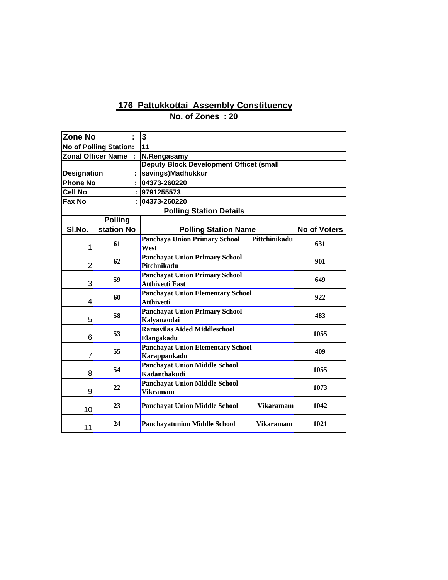| <b>Zone No</b>                |                | $\overline{\mathbf{3}}$                                  |                     |
|-------------------------------|----------------|----------------------------------------------------------|---------------------|
| <b>No of Polling Station:</b> |                | 11                                                       |                     |
| <b>Zonal Officer Name</b>     |                | N.Rengasamy                                              |                     |
|                               |                | <b>Deputy Block Development Officet (small</b>           |                     |
| <b>Designation</b>            |                | savings)Madhukkur                                        |                     |
| <b>Phone No</b>               |                | 04373-260220                                             |                     |
| <b>Cell No</b>                |                | 9791255573                                               |                     |
| Fax No                        |                | 04373-260220                                             |                     |
|                               |                | <b>Polling Station Details</b>                           |                     |
|                               | <b>Polling</b> |                                                          |                     |
| SI.No.                        | station No     | <b>Polling Station Name</b>                              | <b>No of Voters</b> |
|                               | 61             | <b>Panchaya Union Primary School</b><br>Pittchinikadu    | 631                 |
| 1                             |                | West                                                     |                     |
| $\overline{2}$                | 62             | <b>Panchayat Union Primary School</b><br>Pitchnikadu     | 901                 |
|                               |                | <b>Panchayat Union Primary School</b>                    |                     |
| 3                             | 59             | <b>Atthivetti East</b>                                   | 649                 |
|                               | 60             | <b>Panchayat Union Elementary School</b>                 | 922                 |
| 4                             |                | <b>Atthivetti</b>                                        |                     |
|                               | 58             | <b>Panchayat Union Primary School</b>                    | 483                 |
| 5                             |                | Kalyanaodai                                              |                     |
|                               | 53             | <b>Ramavilas Aided Middleschool</b>                      | 1055                |
| 6                             |                | Elangakadu                                               |                     |
|                               | 55             | <b>Panchayat Union Elementary School</b>                 | 409                 |
| 7                             |                | Karappankadu                                             |                     |
|                               | 54             | <b>Panchayat Union Middle School</b>                     | 1055                |
| 8                             |                | Kadanthakudi                                             |                     |
|                               | 22             | <b>Panchayat Union Middle School</b>                     | 1073                |
| 9                             |                | <b>Vikramam</b>                                          |                     |
| 10                            | 23             | <b>Panchayat Union Middle School</b><br><b>Vikaramam</b> | 1042                |
| 11                            | 24             | <b>Panchayatunion Middle School</b><br><b>Vikaramam</b>  | 1021                |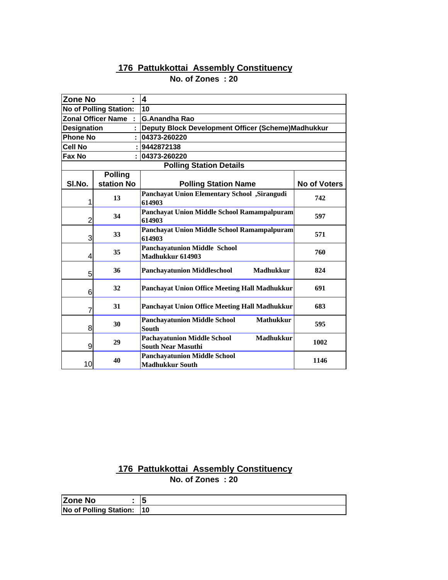## **No. of Zones : 20**

| <b>Zone No</b>                | $\blacksquare$            | $\boldsymbol{4}$                                                                    |                     |
|-------------------------------|---------------------------|-------------------------------------------------------------------------------------|---------------------|
| <b>No of Polling Station:</b> |                           | 10                                                                                  |                     |
|                               | <b>Zonal Officer Name</b> | <b>G.Anandha Rao</b>                                                                |                     |
| <b>Designation</b>            |                           | Deputy Block Development Officer (Scheme)Madhukkur                                  |                     |
| <b>Phone No</b>               |                           | 04373-260220                                                                        |                     |
| <b>Cell No</b>                |                           | 9442872138                                                                          |                     |
| Fax No                        |                           | 04373-260220                                                                        |                     |
|                               |                           | <b>Polling Station Details</b>                                                      |                     |
|                               | <b>Polling</b>            |                                                                                     |                     |
| SI.No.                        | station No                | <b>Polling Station Name</b>                                                         | <b>No of Voters</b> |
| 1                             | 13                        | Panchayat Union Elementary School , Sirangudi<br>614903                             | 742                 |
| 2                             | 34                        | Panchayat Union Middle School Ramampalpuram<br>614903                               | 597                 |
| 3                             | 33                        | Panchayat Union Middle School Ramampalpuram<br>614903                               | 571                 |
| 4                             | 35                        | <b>Panchayatunion Middle School</b><br>Madhukkur 614903                             | 760                 |
| 5                             | 36                        | <b>Madhukkur</b><br><b>Panchayatunion Middleschool</b>                              | 824                 |
| 6                             | 32                        | Panchayat Union Office Meeting Hall Madhukkur                                       | 691                 |
| 7                             | 31                        | Panchayat Union Office Meeting Hall Madhukkur                                       | 683                 |
| 8                             | 30                        | <b>Panchayatunion Middle School</b><br><b>Mathukkur</b><br><b>South</b>             | 595                 |
| 9                             | 29                        | <b>Pachayatunion Middle School</b><br><b>Madhukkur</b><br><b>South Near Masuthi</b> | 1002                |
| 10                            | 40                        | <b>Panchayatunion Middle School</b><br><b>Madhukkur South</b>                       | 1146                |

| Zone No                    | 15 |
|----------------------------|----|
| No of Polling Station:  10 |    |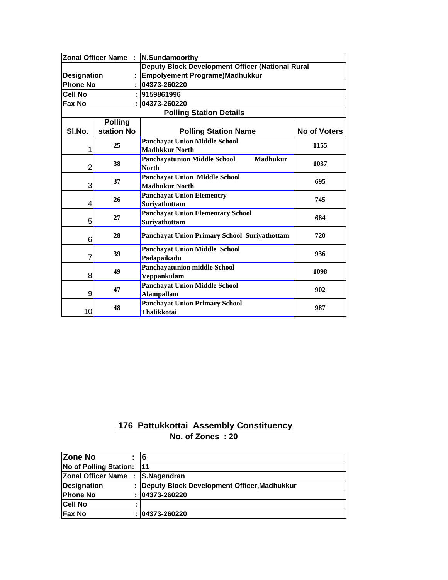|                    | <b>Zonal Officer Name:</b> | N.Sundamoorthy                                         |                     |  |
|--------------------|----------------------------|--------------------------------------------------------|---------------------|--|
|                    |                            | Deputy Block Development Officer (National Rural       |                     |  |
| <b>Designation</b> |                            | Empolyement Programe)Madhukkur                         |                     |  |
| <b>Phone No</b>    |                            | 04373-260220                                           |                     |  |
| <b>Cell No</b>     |                            | 9159861996                                             |                     |  |
| Fax No             |                            | 04373-260220                                           |                     |  |
|                    |                            | <b>Polling Station Details</b>                         |                     |  |
|                    | <b>Polling</b>             |                                                        |                     |  |
| SI.No.             | station No                 | <b>Polling Station Name</b>                            | <b>No of Voters</b> |  |
|                    |                            | <b>Panchayat Union Middle School</b>                   |                     |  |
| 1                  | 25                         | <b>Madhkkur North</b>                                  | 1155                |  |
|                    | 38                         | <b>Madhukur</b><br><b>Panchayatunion Middle School</b> | 1037                |  |
| $\overline{2}$     |                            | <b>North</b>                                           |                     |  |
|                    | 37                         | <b>Panchayat Union Middle School</b>                   | 695                 |  |
| 3                  |                            | <b>Madhukur North</b>                                  |                     |  |
|                    | 26                         | <b>Panchayat Union Elementry</b>                       | 745                 |  |
| 4                  |                            | Suriyathottam                                          |                     |  |
|                    | 27                         | <b>Panchayat Union Elementary School</b>               | 684                 |  |
| 5                  |                            | Suriyathottam                                          |                     |  |
|                    | 28                         | <b>Panchayat Union Primary School Suriyathottam</b>    | 720                 |  |
| 6                  |                            |                                                        |                     |  |
|                    | 39                         | <b>Panchayat Union Middle School</b>                   | 936                 |  |
| 7                  |                            | Padapaikadu                                            |                     |  |
|                    | 49                         | <b>Panchayatunion middle School</b>                    | 1098                |  |
| 8                  |                            | Veppankulam                                            |                     |  |
|                    | 47                         | <b>Panchayat Union Middle School</b>                   | 902                 |  |
| 9                  |                            | <b>Alampallam</b>                                      |                     |  |
|                    | 48                         | <b>Panchayat Union Primary School</b>                  | 987                 |  |
| 10                 |                            | <b>Thalikkotai</b>                                     |                     |  |

| <b>Zone No</b>            |   | 16                                          |
|---------------------------|---|---------------------------------------------|
| No of Polling Station:    |   | l11                                         |
| <b>Zonal Officer Name</b> | ÷ | S.Nagendran                                 |
| <b>Designation</b>        |   | Deputy Block Development Officer, Madhukkur |
| <b>Phone No</b>           |   | : 04373-260220                              |
| <b>Cell No</b>            | ٠ |                                             |
| <b>Fax No</b>             |   | : 04373-260220                              |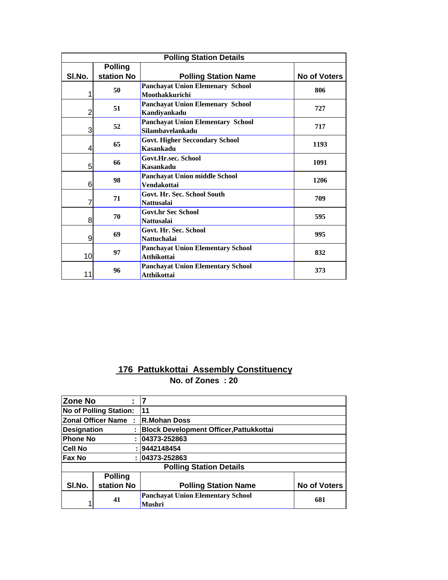| <b>Polling Station Details</b> |                              |                                                                |                     |  |
|--------------------------------|------------------------------|----------------------------------------------------------------|---------------------|--|
| SI.No.                         | <b>Polling</b><br>station No | <b>Polling Station Name</b>                                    | <b>No of Voters</b> |  |
|                                | 50                           | <b>Panchayat Union Elemenary School</b><br>Moothakkurichi      | 806                 |  |
| 2                              | 51                           | <b>Panchayat Union Elemenary School</b><br>Kandiyankadu        | 727                 |  |
| 3                              | 52                           | <b>Panchayat Union Elementary School</b><br>Silambayelankadu   | 717                 |  |
| 4                              | 65                           | <b>Govt. Higher Seccondary School</b><br><b>Kasankadu</b>      | 1193                |  |
| 5                              | 66                           | <b>Govt.Hr.sec. School</b><br>Kasankadu                        | 1091                |  |
| 6                              | 98                           | <b>Panchayat Union middle School</b><br><b>Vendakottai</b>     | 1206                |  |
| 7                              | 71                           | Govt. Hr. Sec. School South<br><b>Nattusalai</b>               | 709                 |  |
| 8                              | 70                           | <b>Govt.hr Sec School</b><br><b>Nattusalai</b>                 | 595                 |  |
| 9                              | 69                           | Govt. Hr. Sec. School<br><b>Nattuchalai</b>                    | 995                 |  |
| 10                             | 97                           | <b>Panchayat Union Elementary School</b><br><b>Atthikottai</b> | 832                 |  |
| 11                             | 96                           | <b>Panchayat Union Elementary School</b><br><b>Atthikottai</b> | 373                 |  |

| <b>Zone No</b>     |                               |                                                           |                     |
|--------------------|-------------------------------|-----------------------------------------------------------|---------------------|
|                    | <b>No of Polling Station:</b> | 11                                                        |                     |
|                    | <b>Zonal Officer Name:</b>    | <b>R.Mohan Doss</b>                                       |                     |
| <b>Designation</b> |                               | <b>Block Development Officer, Pattukkottai</b>            |                     |
| <b>Phone No</b>    |                               | 04373-252863                                              |                     |
| <b>Cell No</b>     |                               | :  9442148454                                             |                     |
| <b>Fax No</b>      |                               | 04373-252863                                              |                     |
|                    |                               | <b>Polling Station Details</b>                            |                     |
|                    | <b>Polling</b>                |                                                           |                     |
| SI.No.             | station No                    | <b>Polling Station Name</b>                               | <b>No of Voters</b> |
|                    | 41                            | <b>Panchavat Union Elementary School</b><br><b>Mushri</b> | 681                 |
|                    |                               |                                                           |                     |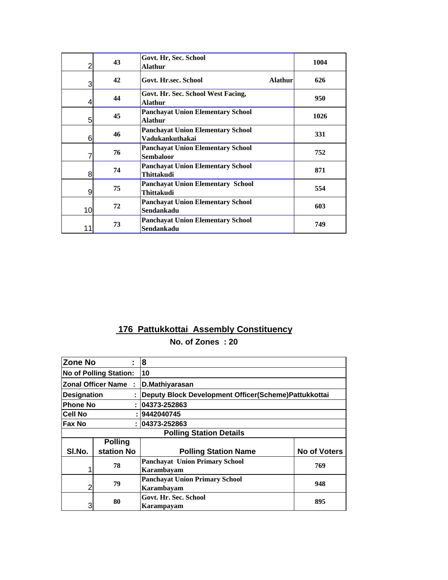| $\overline{2}$ | 43 | Govt. Hr, Sec. School<br><b>Alathur</b>                       | 1004 |
|----------------|----|---------------------------------------------------------------|------|
| 3              | 42 | Govt. Hr.sec. School<br><b>Alathur</b>                        | 626  |
| 4              | 44 | Govt. Hr. Sec. School West Facing,<br>Alathur                 | 950  |
| 5              | 45 | <b>Panchayat Union Elementary School</b><br><b>Alathur</b>    | 1026 |
| 6              | 46 | <b>Panchayat Union Elementary School</b><br>Vadukankuthakai   | 331  |
| 7              | 76 | <b>Panchayat Union Elementary School</b><br><b>Sembaloor</b>  | 752  |
| 8              | 74 | <b>Panchayat Union Elementary School</b><br><b>Thittakudi</b> | 871  |
| 9              | 75 | <b>Panchavat Union Elementary School</b><br><b>Thittakudi</b> | 554  |
| 10             | 72 | <b>Panchayat Union Elementary School</b><br>Sendankadu        | 603  |
| 11             | 73 | <b>Panchayat Union Elementary School</b><br>Sendankadu        | 749  |

| <b>Zone No</b>     |                                | 8                                                    |                     |
|--------------------|--------------------------------|------------------------------------------------------|---------------------|
|                    | <b>No of Polling Station:</b>  | 10                                                   |                     |
|                    | <b>Zonal Officer Name</b><br>÷ | D.Mathiyarasan                                       |                     |
| <b>Designation</b> |                                | Deputy Block Development Officer(Scheme)Pattukkottai |                     |
| <b>Phone No</b>    | t                              | 04373-252863                                         |                     |
| <b>Cell No</b>     |                                | :  9442040745                                        |                     |
| Fax No             |                                | : 04373-252863                                       |                     |
|                    |                                | <b>Polling Station Details</b>                       |                     |
|                    | <b>Polling</b>                 |                                                      |                     |
| SI.No.             | station No                     | <b>Polling Station Name</b>                          | <b>No of Voters</b> |
|                    | 78                             | <b>Panchayat Union Primary School</b><br>Karambayam  | 769                 |
| 2                  | 79                             | <b>Panchayat Union Primary School</b><br>Karambayam  | 948                 |
| 3                  | 80                             | Govt. Hr. Sec. School<br>Karampayam                  | 895                 |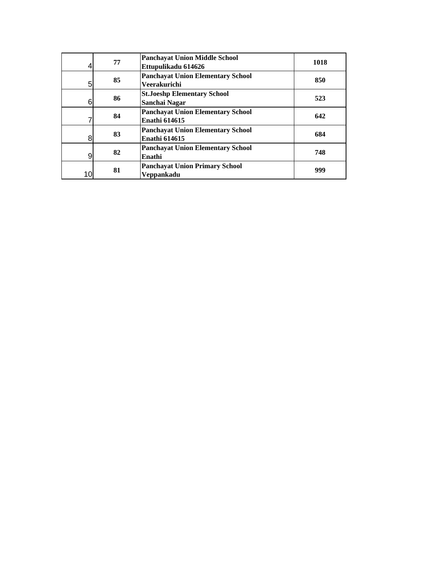| 4  | 77 | <b>Panchayat Union Middle School</b><br>Ettupulikadu 614626      | 1018 |
|----|----|------------------------------------------------------------------|------|
| 5  | 85 | <b>Panchayat Union Elementary School</b><br>Veerakurichi         | 850  |
| 6  | 86 | <b>St.Joeshp Elementary School</b><br>Sanchai Nagar              | 523  |
|    | 84 | <b>Panchayat Union Elementary School</b><br><b>Enathi 614615</b> | 642  |
| 8  | 83 | <b>Panchavat Union Elementary School</b><br><b>Enathi 614615</b> | 684  |
| 9  | 82 | <b>Panchavat Union Elementary School</b><br>Enathi               | 748  |
| 10 | 81 | <b>Panchayat Union Primary School</b><br>Veppankadu              | 999  |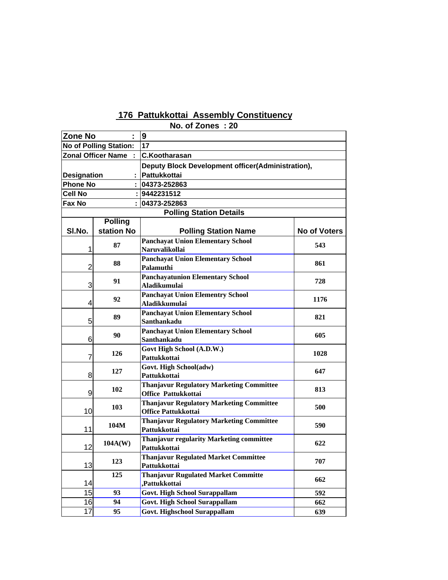|                    |                               | ויט. טו בטוו <del>כ</del> ס                                                   |                     |  |
|--------------------|-------------------------------|-------------------------------------------------------------------------------|---------------------|--|
| <b>Zone No</b>     |                               | 9                                                                             |                     |  |
|                    | <b>No of Polling Station:</b> | 17                                                                            |                     |  |
|                    | <b>Zonal Officer Name</b>     | <b>C.Kootharasan</b>                                                          |                     |  |
|                    |                               | Deputy Block Development officer(Administration),                             |                     |  |
| <b>Designation</b> |                               | Pattukkottai                                                                  |                     |  |
| <b>Phone No</b>    |                               | 04373-252863                                                                  |                     |  |
| Cell No            |                               | 9442231512                                                                    |                     |  |
| Fax No             |                               | 04373-252863                                                                  |                     |  |
|                    |                               | <b>Polling Station Details</b>                                                |                     |  |
|                    | <b>Polling</b>                |                                                                               |                     |  |
| SI.No.             | station No                    | <b>Polling Station Name</b>                                                   | <b>No of Voters</b> |  |
|                    | 87                            | <b>Panchayat Union Elementary School</b>                                      | 543                 |  |
| 1                  |                               | <b>Naruvalikollai</b>                                                         |                     |  |
|                    | 88                            | <b>Panchayat Union Elementary School</b>                                      | 861                 |  |
| $\overline{2}$     |                               | Palamuthi                                                                     |                     |  |
|                    | 91                            | <b>Panchayatunion Elementary School</b>                                       | 728                 |  |
| 3                  |                               | <b>Aladikumulai</b>                                                           |                     |  |
|                    | 92                            | <b>Panchayat Union Elementry School</b>                                       | 1176                |  |
| 4                  |                               | <b>Aladikkumulai</b>                                                          |                     |  |
|                    | 89                            | <b>Panchayat Union Elementary School</b>                                      | 821                 |  |
| 5                  |                               | Santhankadu                                                                   |                     |  |
|                    | 90                            | <b>Panchayat Union Elementary School</b>                                      | 605                 |  |
| 6                  |                               | Santhankadu                                                                   |                     |  |
|                    | 126                           | Govt High School (A.D.W.)                                                     | 1028                |  |
| 7                  |                               | Pattukkottai                                                                  |                     |  |
|                    | 127                           | Govt. High School(adw)                                                        | 647                 |  |
| 8                  |                               | Pattukkottai                                                                  |                     |  |
|                    | 102                           | <b>Thanjavur Regulatory Marketing Committee</b>                               | 813                 |  |
| 9                  |                               | Office Pattukkottai                                                           |                     |  |
| 10                 | 103                           | <b>Thanjavur Regulatory Marketing Committee</b><br><b>Office Pattukkottai</b> | 500                 |  |
|                    |                               |                                                                               |                     |  |
| 11                 | 104M                          | <b>Thanjavur Regulatory Marketing Committee</b><br>Pattukkottai               | 590                 |  |
|                    |                               | <b>Thanjavur regularity Marketing committee</b>                               |                     |  |
| 12                 | 104A(W)                       | Pattukkottai                                                                  | 622                 |  |
|                    |                               | <b>Thanjavur Regulated Market Committee</b>                                   |                     |  |
| 13                 | 123                           | Pattukkottai                                                                  | 707                 |  |
|                    | 125                           | <b>Thanjavur Rugulated Market Committe</b>                                    |                     |  |
| 14                 |                               | ,Pattukkottai                                                                 | 662                 |  |
| 15                 | 93                            | <b>Govt. High School Surappallam</b>                                          | 592                 |  |
| 16                 | 94                            | <b>Govt. High School Surappallam</b>                                          | 662                 |  |
| 17                 | 95                            | <b>Govt. Highschool Surappallam</b>                                           | 639                 |  |
|                    |                               |                                                                               |                     |  |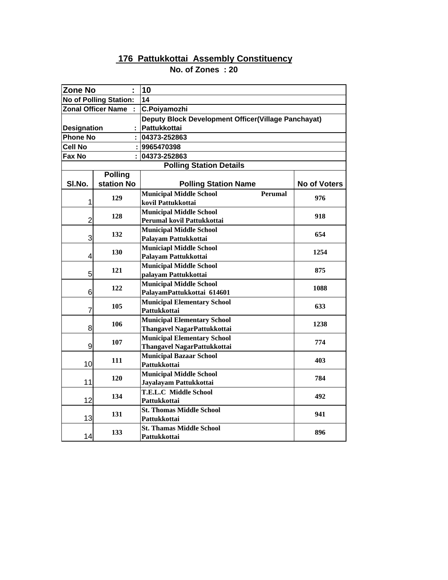| <b>Zone No</b>                |                | 10                                                  |              |  |  |
|-------------------------------|----------------|-----------------------------------------------------|--------------|--|--|
| <b>No of Polling Station:</b> |                | 14                                                  |              |  |  |
| <b>Zonal Officer Name</b>     |                | C.Poiyamozhi                                        |              |  |  |
|                               |                | Deputy Block Development Officer(Village Panchayat) |              |  |  |
| <b>Designation</b>            |                | <b>Pattukkottai</b>                                 |              |  |  |
| <b>Phone No</b>               |                | 04373-252863                                        |              |  |  |
| Cell No                       |                | : 9965470398                                        |              |  |  |
| Fax No                        |                | 04373-252863                                        |              |  |  |
|                               |                | <b>Polling Station Details</b>                      |              |  |  |
|                               | <b>Polling</b> |                                                     |              |  |  |
| SI.No.                        | station No     | <b>Polling Station Name</b>                         | No of Voters |  |  |
|                               | 129            | <b>Municipal Middle School</b><br><b>Perumal</b>    | 976          |  |  |
| 1                             |                | kovil Pattukkottai                                  |              |  |  |
|                               | 128            | <b>Municipal Middle School</b>                      | 918          |  |  |
| $\overline{2}$                |                | Perumal kovil Pattukkottai                          |              |  |  |
|                               | 132            | <b>Municipal Middle School</b>                      | 654          |  |  |
| 3                             |                | Palayam Pattukkottai                                |              |  |  |
|                               | 130            | <b>Municiapl Middle School</b>                      | 1254         |  |  |
| 4                             |                | Palayam Pattukkottai                                |              |  |  |
|                               | 121            | <b>Municipal Middle School</b>                      | 875          |  |  |
| 5                             |                | palayam Pattukkottai                                |              |  |  |
| 6                             | 122            | <b>Municipal Middle School</b>                      | 1088         |  |  |
|                               |                | PalayamPattukkottai 614601                          |              |  |  |
| 7                             | 105            | <b>Municipal Elementary School</b><br>Pattukkottai  | 633          |  |  |
|                               |                | <b>Municipal Elementary School</b>                  |              |  |  |
| 8                             | 106            | <b>Thangavel NagarPattukkottai</b>                  | 1238         |  |  |
|                               |                | <b>Municipal Elementary School</b>                  |              |  |  |
| 9                             | 107            | Thangavel NagarPattukkottai                         | 774          |  |  |
|                               |                | <b>Municipal Bazaar School</b>                      |              |  |  |
| 10                            | 111            | Pattukkottai                                        | 403          |  |  |
|                               |                | <b>Municipal Middle School</b>                      |              |  |  |
| 11                            | 120            | Jayalayam Pattukkottai                              | 784          |  |  |
|                               |                | <b>T.E.L.C Middle School</b>                        |              |  |  |
| 12                            | 134            | Pattukkottai                                        | 492          |  |  |
|                               | 131            | <b>St. Thomas Middle School</b>                     | 941          |  |  |
| 13                            |                | Pattukkottai                                        |              |  |  |
|                               | 133            | <b>St. Thamas Middle School</b>                     | 896          |  |  |
| 14                            |                | Pattukkottai                                        |              |  |  |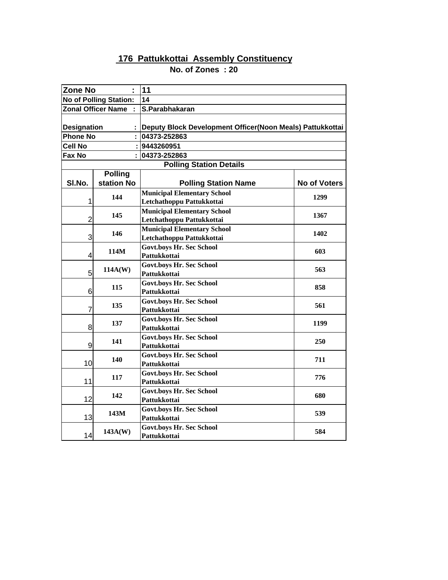| <b>Zone No</b>                |                           | 11                                                        |                     |  |
|-------------------------------|---------------------------|-----------------------------------------------------------|---------------------|--|
| <b>No of Polling Station:</b> |                           | 14                                                        |                     |  |
|                               | <b>Zonal Officer Name</b> | S.Parabhakaran                                            |                     |  |
| <b>Designation</b>            |                           | Deputy Block Development Officer(Noon Meals) Pattukkottai |                     |  |
| <b>Phone No</b>               |                           | 04373-252863                                              |                     |  |
| <b>Cell No</b>                |                           | 9443260951                                                |                     |  |
| Fax No                        |                           | 04373-252863                                              |                     |  |
|                               |                           | <b>Polling Station Details</b>                            |                     |  |
|                               | <b>Polling</b>            |                                                           |                     |  |
| SI.No.                        | station No                | <b>Polling Station Name</b>                               | <b>No of Voters</b> |  |
|                               |                           | <b>Municipal Elementary School</b>                        |                     |  |
| 1                             | 144                       | Letchathoppu Pattukkottai                                 | 1299                |  |
|                               | 145                       | <b>Municipal Elementary School</b>                        | 1367                |  |
| $\overline{2}$                |                           | Letchathoppu Pattukkottai                                 |                     |  |
|                               | 146                       | <b>Municipal Elementary School</b>                        | 1402                |  |
| 3                             |                           | Letchathoppu Pattukkottai                                 |                     |  |
|                               | 114M                      | <b>Govt.boys Hr. Sec School</b>                           | 603                 |  |
| 4                             |                           | Pattukkottai                                              |                     |  |
|                               | 114A(W)                   | <b>Govt.boys Hr. Sec School</b>                           | 563                 |  |
| 5                             |                           | Pattukkottai                                              |                     |  |
|                               | 115                       | <b>Govt.boys Hr. Sec School</b>                           | 858                 |  |
| 6                             |                           | Pattukkottai                                              |                     |  |
| 7                             | 135                       | <b>Govt.boys Hr. Sec School</b><br>Pattukkottai           | 561                 |  |
|                               |                           |                                                           |                     |  |
| 8                             | 137                       | <b>Govt.boys Hr. Sec School</b><br>Pattukkottai           | 1199                |  |
|                               |                           | <b>Govt.boys Hr. Sec School</b>                           |                     |  |
| 9                             | 141                       | Pattukkottai                                              | 250                 |  |
|                               |                           | <b>Govt.boys Hr. Sec School</b>                           |                     |  |
| 10                            | 140                       | Pattukkottai                                              | 711                 |  |
|                               |                           | <b>Govt.boys Hr. Sec School</b>                           |                     |  |
| 11                            | 117                       | Pattukkottai                                              | 776                 |  |
|                               |                           | <b>Govt.boys Hr. Sec School</b>                           |                     |  |
| 12                            | 142                       | Pattukkottai                                              | 680                 |  |
|                               |                           | <b>Govt.boys Hr. Sec School</b>                           |                     |  |
| 13                            | 143M                      | Pattukkottai                                              | 539                 |  |
|                               | 143A(W)                   | <b>Govt.boys Hr. Sec School</b>                           | 584                 |  |
| 14                            |                           | Pattukkottai                                              |                     |  |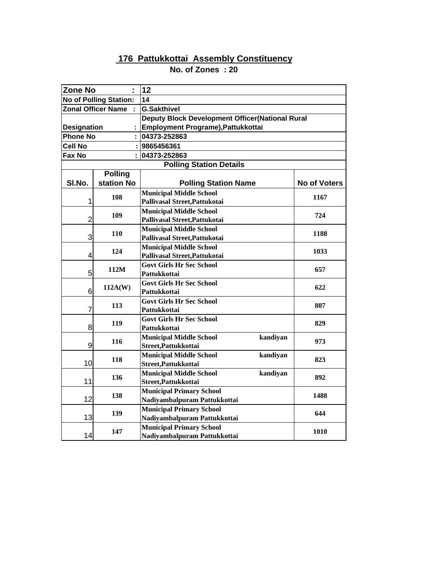| <b>Zone No</b>     |                               | 12                                              |          |                     |
|--------------------|-------------------------------|-------------------------------------------------|----------|---------------------|
|                    | <b>No of Polling Station:</b> | 14                                              |          |                     |
|                    | <b>Zonal Officer Name</b>     | <b>G.Sakthivel</b>                              |          |                     |
|                    |                               | Deputy Block Development Officer(National Rural |          |                     |
| <b>Designation</b> |                               | Employment Programe), Pattukkottai              |          |                     |
| <b>Phone No</b>    |                               | 04373-252863                                    |          |                     |
| Cell No            |                               | : 9865456361                                    |          |                     |
| Fax No             |                               | 04373-252863                                    |          |                     |
|                    |                               | <b>Polling Station Details</b>                  |          |                     |
|                    | <b>Polling</b>                |                                                 |          |                     |
| SI.No.             | station No                    | <b>Polling Station Name</b>                     |          | <b>No of Voters</b> |
|                    | 108                           | <b>Municipal Middle School</b>                  |          | 1167                |
| 1                  |                               | Pallivasal Street, Pattukotai                   |          |                     |
|                    | 109                           | <b>Municipal Middle School</b>                  |          | 724                 |
| $\overline{2}$     |                               | Pallivasal Street, Pattukotai                   |          |                     |
|                    | <b>110</b>                    | <b>Municipal Middle School</b>                  |          | 1188                |
| 3                  |                               | Pallivasal Street, Pattukotai                   |          |                     |
|                    | 124                           | <b>Municipal Middle School</b>                  |          | 1033                |
| 4                  |                               | Pallivasal Street, Pattukotai                   |          |                     |
|                    | 112M                          | <b>Govt Girls Hr Sec School</b>                 |          | 657                 |
| 5                  |                               | Pattukkottai                                    |          |                     |
| 6                  | 112A(W)                       | <b>Govt Girls Hr Sec School</b><br>Pattukkottai |          | 622                 |
|                    |                               | <b>Govt Girls Hr Sec School</b>                 |          |                     |
| 7                  | 113                           | Pattukkottai                                    |          | 807                 |
|                    |                               | <b>Govt Girls Hr Sec School</b>                 |          |                     |
| 8                  | 119                           | Pattukkottai                                    |          | 829                 |
|                    |                               | <b>Municipal Middle School</b>                  | kandiyan |                     |
| 9                  | 116                           | Street, Pattukkottai                            |          | 973                 |
|                    |                               | <b>Municipal Middle School</b>                  | kandiyan |                     |
| 10                 | 118                           | Street, Pattukkottai                            |          | 823                 |
|                    |                               | <b>Municipal Middle School</b>                  | kandiyan |                     |
| 11                 | 136                           | Street, Pattukkottai                            |          | 892                 |
|                    |                               | <b>Municipal Primary School</b>                 |          | 1488                |
| 12                 | 138                           | Nadiyambalpuram Pattukkottai                    |          |                     |
|                    | 139                           | <b>Municipal Primary School</b>                 |          | 644                 |
| 13                 |                               | Nadiyambalpuram Pattukkottai                    |          |                     |
|                    | 147                           | <b>Municipal Primary School</b>                 |          | 1010                |
| 14                 |                               | Nadiyambalpuram Pattukkottai                    |          |                     |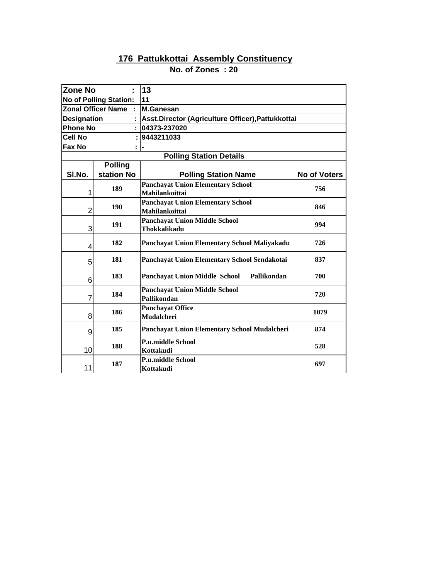| <b>Zone No</b>     | ÷                             | 13                                                         |                     |  |  |
|--------------------|-------------------------------|------------------------------------------------------------|---------------------|--|--|
|                    | <b>No of Polling Station:</b> | 11                                                         |                     |  |  |
|                    | <b>Zonal Officer Name</b>     | <b>M.Ganesan</b>                                           |                     |  |  |
| <b>Designation</b> |                               | Asst.Director (Agriculture Officer), Pattukkottai          |                     |  |  |
| <b>Phone No</b>    |                               | 04373-237020                                               |                     |  |  |
| <b>Cell No</b>     |                               | 9443211033                                                 |                     |  |  |
| Fax No             |                               |                                                            |                     |  |  |
|                    |                               | <b>Polling Station Details</b>                             |                     |  |  |
|                    | <b>Polling</b>                |                                                            |                     |  |  |
| SI.No.             | station No                    | <b>Polling Station Name</b>                                | <b>No of Voters</b> |  |  |
| 1                  | 189                           | <b>Panchayat Union Elementary School</b><br>Mahilankoittai | 756                 |  |  |
| $\overline{2}$     | 190                           | <b>Panchayat Union Elementary School</b><br>Mahilankoittai | 846                 |  |  |
| 3                  | 191                           | <b>Panchayat Union Middle School</b><br>Thokkalikadu       | 994                 |  |  |
| 4                  | 182                           | Panchayat Union Elementary School Maliyakadu               | 726                 |  |  |
| 5                  | 181                           | Panchayat Union Elementary School Sendakotai               | 837                 |  |  |
| 6                  | 183                           | <b>Panchayat Union Middle School</b><br>Pallikondan        | 700                 |  |  |
| 7                  | 184                           | <b>Panchayat Union Middle School</b><br>Pallikondan        | 720                 |  |  |
| 8                  | 186                           | <b>Panchayat Office</b><br><b>Mudalcheri</b>               | 1079                |  |  |
| 9                  | 185                           | Panchayat Union Elementary School Mudalcheri               | 874                 |  |  |
| 10                 | 188                           | <b>P.u.middle School</b><br>Kottakudi                      | 528                 |  |  |
| 11                 | 187                           | <b>P.u.middle School</b><br>Kottakudi                      | 697                 |  |  |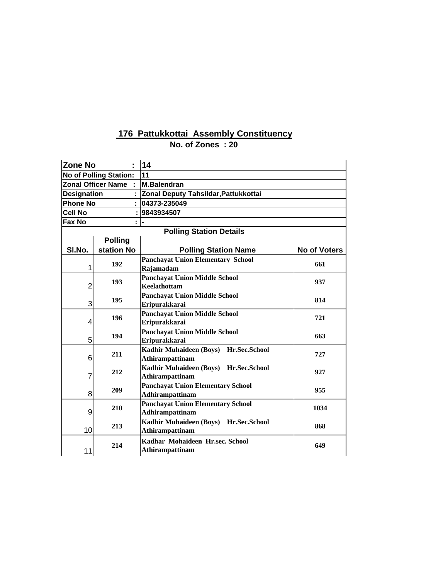| <b>Zone No</b>                | ÷                         | 14                                                                 |                     |  |  |  |
|-------------------------------|---------------------------|--------------------------------------------------------------------|---------------------|--|--|--|
| <b>No of Polling Station:</b> |                           | 11                                                                 |                     |  |  |  |
|                               | <b>Zonal Officer Name</b> | <b>M.Balendran</b>                                                 |                     |  |  |  |
| <b>Designation</b>            |                           | Zonal Deputy Tahsildar, Pattukkottai                               |                     |  |  |  |
| <b>Phone No</b>               |                           | 04373-235049                                                       |                     |  |  |  |
| <b>Cell No</b>                |                           | 9843934507                                                         |                     |  |  |  |
| Fax No                        |                           |                                                                    |                     |  |  |  |
|                               |                           | <b>Polling Station Details</b>                                     |                     |  |  |  |
|                               | <b>Polling</b>            |                                                                    |                     |  |  |  |
| SI.No.                        | station No                | <b>Polling Station Name</b>                                        | <b>No of Voters</b> |  |  |  |
| 1                             | 192                       | <b>Panchayat Union Elementary School</b><br>Rajamadam              | 661                 |  |  |  |
| $\overline{2}$                | 193                       | <b>Panchayat Union Middle School</b><br><b>Keelathottam</b>        | 937                 |  |  |  |
| 3                             | 195                       | <b>Panchayat Union Middle School</b><br>Eripurakkarai              | 814                 |  |  |  |
| 4                             | 196                       | <b>Panchayat Union Middle School</b><br><b>Eripurakkarai</b>       | 721                 |  |  |  |
| 5                             | 194                       | <b>Panchayat Union Middle School</b><br>Eripurakkarai              | 663                 |  |  |  |
| 6                             | 211                       | Kadhir Muhaideen (Boys) Hr.Sec.School<br><b>Athirampattinam</b>    | 727                 |  |  |  |
| 7                             | 212                       | Kadhir Muhaideen (Boys) Hr.Sec.School<br><b>Athirampattinam</b>    | 927                 |  |  |  |
| 8                             | 209                       | <b>Panchayat Union Elementary School</b><br><b>Adhirampattinam</b> | 955                 |  |  |  |
| 9                             | 210                       | <b>Panchayat Union Elementary School</b><br><b>Adhirampattinam</b> | 1034                |  |  |  |
| 10                            | 213                       | Kadhir Muhaideen (Boys) Hr.Sec.School<br><b>Athirampattinam</b>    | 868                 |  |  |  |
| 11                            | 214                       | Kadhar Mohaideen Hr.sec. School<br><b>Athirampattinam</b>          | 649                 |  |  |  |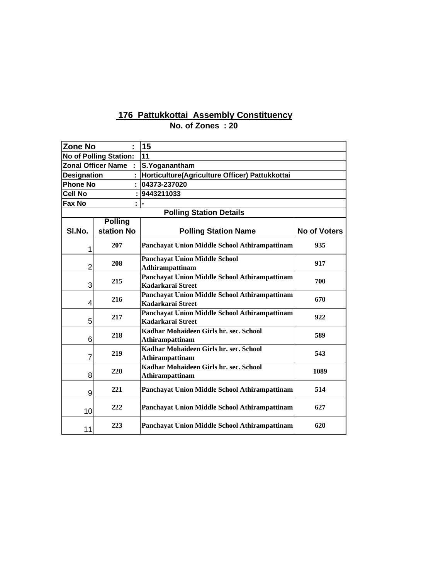| <b>Zone No</b>     |                               | Ì. | 15                                                                 |              |
|--------------------|-------------------------------|----|--------------------------------------------------------------------|--------------|
|                    | <b>No of Polling Station:</b> |    | 11                                                                 |              |
|                    | <b>Zonal Officer Name</b>     |    | S.Yoganantham                                                      |              |
| <b>Designation</b> |                               |    | Horticulture(Agriculture Officer) Pattukkottai                     |              |
| <b>Phone No</b>    |                               |    | 04373-237020                                                       |              |
| <b>Cell No</b>     |                               |    | 9443211033                                                         |              |
| Fax No             |                               |    |                                                                    |              |
|                    |                               |    | <b>Polling Station Details</b>                                     |              |
|                    | <b>Polling</b>                |    |                                                                    |              |
| SI.No.             | station No                    |    | <b>Polling Station Name</b>                                        | No of Voters |
| 1                  | 207                           |    | Panchayat Union Middle School Athirampattinam                      | 935          |
| $\overline{2}$     | 208                           |    | <b>Panchayat Union Middle School</b><br>Adhirampattinam            | 917          |
| 3                  | 215                           |    | Panchayat Union Middle School Athirampattinam<br>Kadarkarai Street | 700          |
| 4                  | 216                           |    | Panchayat Union Middle School Athirampattinam<br>Kadarkarai Street | 670          |
| 5                  | 217                           |    | Panchayat Union Middle School Athirampattinam<br>Kadarkarai Street | 922          |
| 6                  | 218                           |    | Kadhar Mohaideen Girls hr. sec. School<br>Athirampattinam          | 589          |
| 7                  | 219                           |    | Kadhar Mohaideen Girls hr. sec. School<br>Athirampattinam          | 543          |
| 8                  | 220                           |    | Kadhar Mohaideen Girls hr. sec. School<br>Athirampattinam          | 1089         |
| 9                  | 221                           |    | Panchayat Union Middle School Athirampattinam                      | 514          |
| 10                 | 222                           |    | Panchayat Union Middle School Athirampattinam                      | 627          |
| 11                 | 223                           |    | Panchayat Union Middle School Athirampattinam                      | 620          |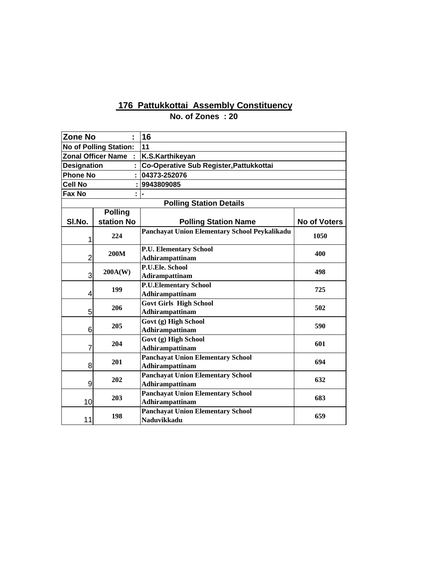| <b>Zone No</b>     |                               | 16                                                             |              |
|--------------------|-------------------------------|----------------------------------------------------------------|--------------|
|                    | <b>No of Polling Station:</b> | 11                                                             |              |
|                    | <b>Zonal Officer Name</b>     | K.S.Karthikeyan                                                |              |
| <b>Designation</b> |                               | Co-Operative Sub Register, Pattukkottai                        |              |
| <b>Phone No</b>    |                               | 04373-252076                                                   |              |
| <b>Cell No</b>     |                               | 9943809085                                                     |              |
| Fax No             |                               |                                                                |              |
|                    |                               | <b>Polling Station Details</b>                                 |              |
|                    | <b>Polling</b>                |                                                                |              |
| SI.No.             | station No                    | <b>Polling Station Name</b>                                    | No of Voters |
| 1                  | 224                           | Panchayat Union Elementary School Peykalikadu                  | 1050         |
| $\overline{2}$     | 200M                          | <b>P.U. Elementary School</b><br>Adhirampattinam               | 400          |
| 3                  | 200A(W)                       | P.U.Ele. School<br>Adirampattinam                              | 498          |
| 4                  | 199                           | <b>P.U.Elementary School</b><br>Adhirampattinam                | 725          |
| 5                  | 206                           | <b>Govt Girls High School</b><br><b>Adhirampattinam</b>        | 502          |
| 6                  | 205                           | Govt (g) High School<br>Adhirampattinam                        | 590          |
| 7                  | 204                           | Govt (g) High School<br>Adhirampattinam                        | 601          |
| 8                  | 201                           | <b>Panchayat Union Elementary School</b><br>Adhirampattinam    | 694          |
| 9                  | 202                           | <b>Panchayat Union Elementary School</b><br>Adhirampattinam    | 632          |
| 10                 | 203                           | <b>Panchayat Union Elementary School</b><br>Adhirampattinam    | 683          |
| 11                 | 198                           | <b>Panchayat Union Elementary School</b><br><b>Naduvikkadu</b> | 659          |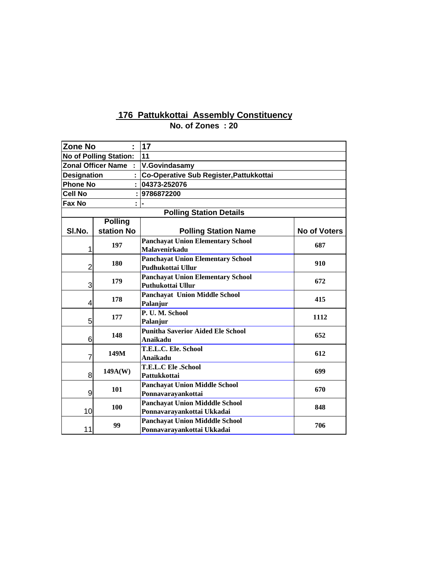| <b>Zone No</b>     | ٠                         | 17                                                   |                     |  |  |
|--------------------|---------------------------|------------------------------------------------------|---------------------|--|--|
|                    | No of Polling Station:    | 11                                                   |                     |  |  |
|                    | <b>Zonal Officer Name</b> | <b>V.Govindasamy</b>                                 |                     |  |  |
| <b>Designation</b> |                           | Co-Operative Sub Register, Pattukkottai              |                     |  |  |
| <b>Phone No</b>    |                           | 04373-252076                                         |                     |  |  |
| <b>Cell No</b>     |                           | 9786872200                                           |                     |  |  |
| Fax No             |                           |                                                      |                     |  |  |
|                    |                           | <b>Polling Station Details</b>                       |                     |  |  |
|                    | <b>Polling</b>            |                                                      |                     |  |  |
| SI.No.             | station No                | <b>Polling Station Name</b>                          | <b>No of Voters</b> |  |  |
|                    | 197                       | <b>Panchayat Union Elementary School</b>             | 687                 |  |  |
| 1                  |                           | <b>Malavenirkadu</b>                                 |                     |  |  |
|                    | 180                       | <b>Panchayat Union Elementary School</b>             | 910                 |  |  |
| $\overline{2}$     |                           | Pudhukottai Ullur                                    |                     |  |  |
|                    | 179                       | <b>Panchayat Union Elementary School</b>             | 672                 |  |  |
| 3                  |                           | Puthukottai Ullur                                    |                     |  |  |
|                    | 178                       | <b>Panchayat Union Middle School</b>                 | 415                 |  |  |
| 4                  |                           | Palanjur                                             |                     |  |  |
|                    | 177                       | P.U.M. School                                        | 1112                |  |  |
| 5                  |                           | Palanjur                                             |                     |  |  |
| 6                  | 148                       | <b>Punitha Saverior Aided Ele School</b><br>Anaikadu | 652                 |  |  |
|                    |                           | T.E.L.C. Ele. School                                 |                     |  |  |
| 7                  | 149M                      | Anaikadu                                             | 612                 |  |  |
|                    |                           | <b>T.E.L.C Ele .School</b>                           |                     |  |  |
| 8                  | 149A(W)                   | Pattukkottai                                         | 699                 |  |  |
|                    |                           | <b>Panchayat Union Middle School</b>                 |                     |  |  |
| 9                  | 101                       | Ponnavarayankottai                                   | 670                 |  |  |
|                    |                           | <b>Panchayat Union Midddle School</b>                |                     |  |  |
| 10                 | 100                       | Ponnavarayankottai Ukkadai                           | 848                 |  |  |
|                    |                           | <b>Panchayat Union Midddle School</b>                |                     |  |  |
| 11                 | 99                        | Ponnavarayankottai Ukkadai                           | 706                 |  |  |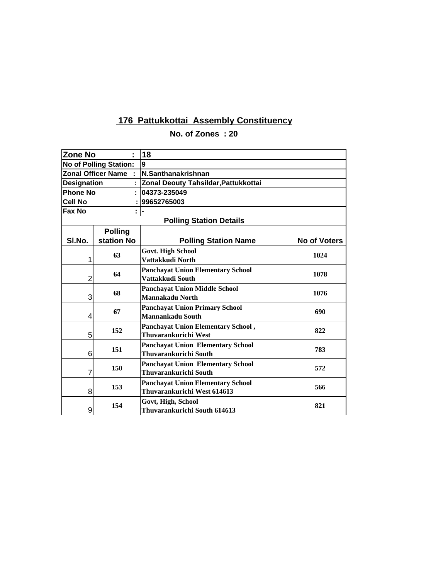**Zone No : 18 Polling Station Details**

| <b>No of Polling Station:</b> |                | 9                                                                       |              |  |  |
|-------------------------------|----------------|-------------------------------------------------------------------------|--------------|--|--|
| <b>Zonal Officer Name</b>     |                | N.Santhanakrishnan                                                      |              |  |  |
| <b>Designation</b>            |                | : Zonal Deouty Tahsildar, Pattukkottai                                  |              |  |  |
| <b>Phone No</b>               |                | 04373-235049                                                            |              |  |  |
| Cell No                       |                | 99652765003                                                             |              |  |  |
| Fax No                        |                |                                                                         |              |  |  |
|                               |                | <b>Polling Station Details</b>                                          |              |  |  |
|                               | <b>Polling</b> |                                                                         |              |  |  |
| SI.No.                        | station No     | <b>Polling Station Name</b>                                             | No of Voters |  |  |
| 1                             | 63             | <b>Govt. High School</b><br>Vattakkudi North                            | 1024         |  |  |
| 2                             | 64             | <b>Panchayat Union Elementary School</b><br>Vattakkudi South            | 1078         |  |  |
| 3                             | 68             | <b>Panchayat Union Middle School</b><br>Mannakadu North                 | 1076         |  |  |
| 4                             | 67             | <b>Panchayat Union Primary School</b><br>Mannankadu South               | 690          |  |  |
| 5                             | 152            | Panchayat Union Elementary School,<br>Thuvarankurichi West              | 822          |  |  |
| 6                             | 151            | <b>Panchayat Union Elementary School</b><br>Thuvarankurichi South       | 783          |  |  |
| 7                             | 150            | <b>Panchayat Union Elementary School</b><br>Thuvarankurichi South       | 572          |  |  |
| 8                             | 153            | <b>Panchayat Union Elementary School</b><br>Thuvarankurichi West 614613 | 566          |  |  |
| 9                             | 154            | Govt, High, School<br>Thuvarankurichi South 614613                      | 821          |  |  |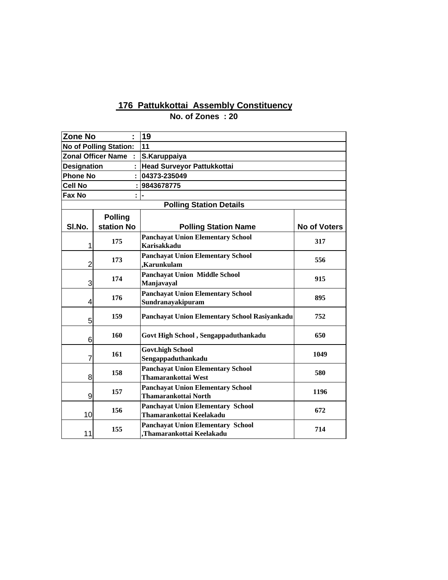| <b>Zone No</b>     |                               | 19                                                                      |                     |  |  |
|--------------------|-------------------------------|-------------------------------------------------------------------------|---------------------|--|--|
|                    | <b>No of Polling Station:</b> | 11                                                                      |                     |  |  |
|                    | <b>Zonal Officer Name</b>     | S.Karuppaiya                                                            |                     |  |  |
| <b>Designation</b> |                               | Head Surveyor Pattukkottai                                              |                     |  |  |
| <b>Phone No</b>    |                               | 04373-235049                                                            |                     |  |  |
| <b>Cell No</b>     |                               | 9843678775                                                              |                     |  |  |
| Fax No             |                               |                                                                         |                     |  |  |
|                    |                               | <b>Polling Station Details</b>                                          |                     |  |  |
|                    | <b>Polling</b>                |                                                                         |                     |  |  |
| SI.No.             | station No                    | <b>Polling Station Name</b>                                             | <b>No of Voters</b> |  |  |
| 1                  | 175                           | <b>Panchayat Union Elementary School</b><br><b>Karisakkadu</b>          | 317                 |  |  |
| $\overline{2}$     | 173                           | <b>Panchayat Union Elementary School</b><br>Karunkulam.                 | 556                 |  |  |
| 3                  | 174                           | <b>Panchayat Union Middle School</b><br>Manjavayal                      | 915                 |  |  |
| 4                  | 176                           | <b>Panchayat Union Elementary School</b><br>Sundranayakipuram           | 895                 |  |  |
| 5                  | 159                           | Panchayat Union Elementary School Rasiyankadu                           | 752                 |  |  |
| 6                  | 160                           | Govt High School, Sengappaduthankadu                                    | 650                 |  |  |
| 7                  | 161                           | <b>Govt.high School</b><br>Sengappaduthankadu                           | 1049                |  |  |
| 8                  | 158                           | <b>Panchayat Union Elementary School</b><br>Thamarankottai West         | 580                 |  |  |
| 9                  | 157                           | <b>Panchayat Union Elementary School</b><br><b>Thamarankottai North</b> | 1196                |  |  |
| 10                 | 156                           | <b>Panchayat Union Elementary School</b><br>Thamarankottai Keelakadu    | 672                 |  |  |
| 11                 | 155                           | <b>Panchayat Union Elementary School</b><br>Thamarankottai Keelakadu,   | 714                 |  |  |